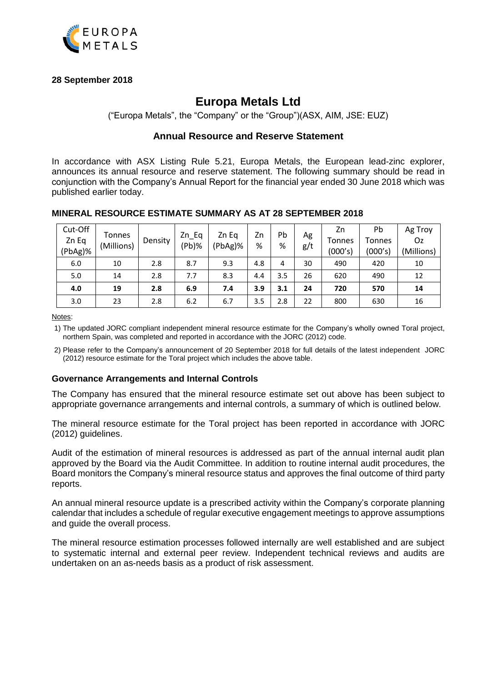

# **28 September 2018**

# **Europa Metals Ltd**

("Europa Metals", the "Company" or the "Group")(ASX, AIM, JSE: EUZ)

# **Annual Resource and Reserve Statement**

In accordance with ASX Listing Rule 5.21, Europa Metals, the European lead-zinc explorer, announces its annual resource and reserve statement. The following summary should be read in conjunction with the Company's Annual Report for the financial year ended 30 June 2018 which was published earlier today.

| Cut-Off | Tonnes     |         | Zn Eq    | Zn Eg   | Zn  | Pb  | Ag  | Zn      | Pb            | Ag Troy    |
|---------|------------|---------|----------|---------|-----|-----|-----|---------|---------------|------------|
| Zn Eq   |            | Density |          |         |     |     |     | Tonnes  | <b>Tonnes</b> | Oz.        |
| (PbAg)% | (Millions) |         | $(Pb)$ % | (PbAg)% | %   | %   | g/t | (000's) | (000's)       | (Millions) |
| 6.0     | 10         | 2.8     | 8.7      | 9.3     | 4.8 | 4   | 30  | 490     | 420           | 10         |
| 5.0     | 14         | 2.8     | 7.7      | 8.3     | 4.4 | 3.5 | 26  | 620     | 490           | 12         |
| 4.0     | 19         | 2.8     | 6.9      | 7.4     | 3.9 | 3.1 | 24  | 720     | 570           | 14         |
| 3.0     | 23         | 2.8     | 6.2      | 6.7     | 3.5 | 2.8 | 22  | 800     | 630           | 16         |

## **MINERAL RESOURCE ESTIMATE SUMMARY AS AT 28 SEPTEMBER 2018**

Notes:

1) The updated JORC compliant independent mineral resource estimate for the Company's wholly owned Toral project, northern Spain, was completed and reported in accordance with the JORC (2012) code.

2) Please refer to the Company's announcement of 20 September 2018 for full details of the latest independent JORC (2012) resource estimate for the Toral project which includes the above table.

## **Governance Arrangements and Internal Controls**

The Company has ensured that the mineral resource estimate set out above has been subject to appropriate governance arrangements and internal controls, a summary of which is outlined below.

The mineral resource estimate for the Toral project has been reported in accordance with JORC (2012) guidelines.

Audit of the estimation of mineral resources is addressed as part of the annual internal audit plan approved by the Board via the Audit Committee. In addition to routine internal audit procedures, the Board monitors the Company's mineral resource status and approves the final outcome of third party reports.

An annual mineral resource update is a prescribed activity within the Company's corporate planning calendar that includes a schedule of regular executive engagement meetings to approve assumptions and guide the overall process.

The mineral resource estimation processes followed internally are well established and are subject to systematic internal and external peer review. Independent technical reviews and audits are undertaken on an as-needs basis as a product of risk assessment.